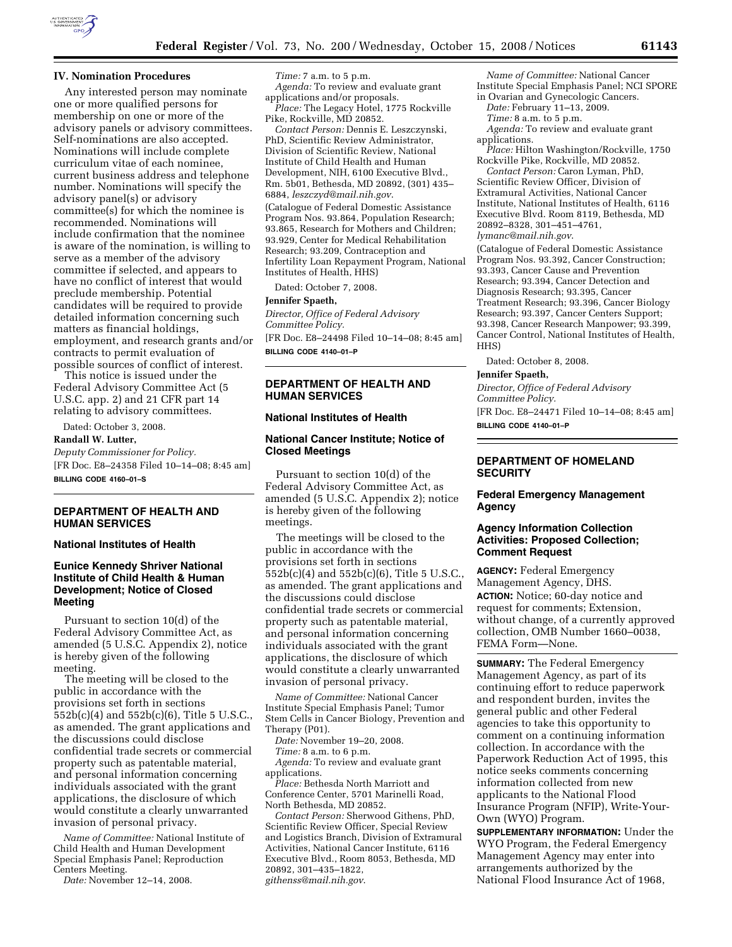

#### **IV. Nomination Procedures**

Any interested person may nominate one or more qualified persons for membership on one or more of the advisory panels or advisory committees. Self-nominations are also accepted. Nominations will include complete curriculum vitae of each nominee, current business address and telephone number. Nominations will specify the advisory panel(s) or advisory committee(s) for which the nominee is recommended. Nominations will include confirmation that the nominee is aware of the nomination, is willing to serve as a member of the advisory committee if selected, and appears to have no conflict of interest that would preclude membership. Potential candidates will be required to provide detailed information concerning such matters as financial holdings, employment, and research grants and/or contracts to permit evaluation of possible sources of conflict of interest.

This notice is issued under the Federal Advisory Committee Act (5 U.S.C. app. 2) and 21 CFR part 14 relating to advisory committees.

Dated: October 3, 2008.

# **Randall W. Lutter,**

*Deputy Commissioner for Policy.*  [FR Doc. E8–24358 Filed 10–14–08; 8:45 am] **BILLING CODE 4160–01–S** 

# **DEPARTMENT OF HEALTH AND HUMAN SERVICES**

#### **National Institutes of Health**

# **Eunice Kennedy Shriver National Institute of Child Health & Human Development; Notice of Closed Meeting**

Pursuant to section 10(d) of the Federal Advisory Committee Act, as amended (5 U.S.C. Appendix 2), notice is hereby given of the following meeting.

The meeting will be closed to the public in accordance with the provisions set forth in sections 552b(c)(4) and 552b(c)(6), Title 5 U.S.C., as amended. The grant applications and the discussions could disclose confidential trade secrets or commercial property such as patentable material, and personal information concerning individuals associated with the grant applications, the disclosure of which would constitute a clearly unwarranted invasion of personal privacy.

*Name of Committee:* National Institute of Child Health and Human Development Special Emphasis Panel; Reproduction Centers Meeting.

*Date:* November 12–14, 2008.

*Time:* 7 a.m. to 5 p.m. *Agenda:* To review and evaluate grant applications and/or proposals.

*Place:* The Legacy Hotel, 1775 Rockville Pike, Rockville, MD 20852.

*Contact Person:* Dennis E. Leszczynski, PhD, Scientific Review Administrator, Division of Scientific Review, National Institute of Child Health and Human Development, NIH, 6100 Executive Blvd., Rm. 5b01, Bethesda, MD 20892, (301) 435– 6884, *leszczyd@mail.nih.gov*.

(Catalogue of Federal Domestic Assistance Program Nos. 93.864, Population Research; 93.865, Research for Mothers and Children; 93.929, Center for Medical Rehabilitation Research; 93.209, Contraception and Infertility Loan Repayment Program, National Institutes of Health, HHS)

Dated: October 7, 2008.

#### **Jennifer Spaeth,**

*Director, Office of Federal Advisory Committee Policy.* 

[FR Doc. E8–24498 Filed 10–14–08; 8:45 am] **BILLING CODE 4140–01–P** 

### **DEPARTMENT OF HEALTH AND HUMAN SERVICES**

#### **National Institutes of Health**

### **National Cancer Institute; Notice of Closed Meetings**

Pursuant to section 10(d) of the Federal Advisory Committee Act, as amended (5 U.S.C. Appendix 2); notice is hereby given of the following meetings.

The meetings will be closed to the public in accordance with the provisions set forth in sections 552b(c)(4) and 552b(c)(6), Title 5 U.S.C., as amended. The grant applications and the discussions could disclose confidential trade secrets or commercial property such as patentable material, and personal information concerning individuals associated with the grant applications, the disclosure of which would constitute a clearly unwarranted invasion of personal privacy.

*Name of Committee:* National Cancer Institute Special Emphasis Panel; Tumor Stem Cells in Cancer Biology, Prevention and Therapy (P01).

*Date:* November 19–20, 2008.

*Time:* 8 a.m. to 6 p.m.

*Agenda:* To review and evaluate grant applications.

*Place:* Bethesda North Marriott and Conference Center, 5701 Marinelli Road, North Bethesda, MD 20852.

*Contact Person:* Sherwood Githens, PhD, Scientific Review Officer, Special Review and Logistics Branch, Division of Extramural Activities, National Cancer Institute, 6116 Executive Blvd., Room 8053, Bethesda, MD 20892, 301–435–1822, *githenss@mail.nih.gov*.

*Name of Committee:* National Cancer Institute Special Emphasis Panel; NCI SPORE in Ovarian and Gynecologic Cancers.

*Date:* February 11–13, 2009.

*Time:* 8 a.m. to 5 p.m.

*Agenda:* To review and evaluate grant applications.

*Place:* Hilton Washington/Rockville, 1750 Rockville Pike, Rockville, MD 20852.

*Contact Person:* Caron Lyman, PhD, Scientific Review Officer, Division of Extramural Activities, National Cancer Institute, National Institutes of Health, 6116 Executive Blvd. Room 8119, Bethesda, MD 20892–8328, 301–451–4761,

*lymanc@mail.nih.gov*.

(Catalogue of Federal Domestic Assistance Program Nos. 93.392, Cancer Construction; 93.393, Cancer Cause and Prevention Research; 93.394, Cancer Detection and Diagnosis Research; 93.395, Cancer Treatment Research; 93.396, Cancer Biology Research; 93.397, Cancer Centers Support; 93.398, Cancer Research Manpower; 93.399, Cancer Control, National Institutes of Health, HHS)

Dated: October 8, 2008.

#### **Jennifer Spaeth,**

*Director, Office of Federal Advisory Committee Policy.* 

[FR Doc. E8–24471 Filed 10–14–08; 8:45 am] **BILLING CODE 4140–01–P** 

# **DEPARTMENT OF HOMELAND SECURITY**

### **Federal Emergency Management Agency**

### **Agency Information Collection Activities: Proposed Collection; Comment Request**

**AGENCY:** Federal Emergency Management Agency, DHS. **ACTION:** Notice; 60-day notice and request for comments; Extension, without change, of a currently approved collection, OMB Number 1660–0038, FEMA Form—None.

**SUMMARY:** The Federal Emergency Management Agency, as part of its continuing effort to reduce paperwork and respondent burden, invites the general public and other Federal agencies to take this opportunity to comment on a continuing information collection. In accordance with the Paperwork Reduction Act of 1995, this notice seeks comments concerning information collected from new applicants to the National Flood Insurance Program (NFIP), Write-Your-Own (WYO) Program.

**SUPPLEMENTARY INFORMATION:** Under the WYO Program, the Federal Emergency Management Agency may enter into arrangements authorized by the National Flood Insurance Act of 1968,